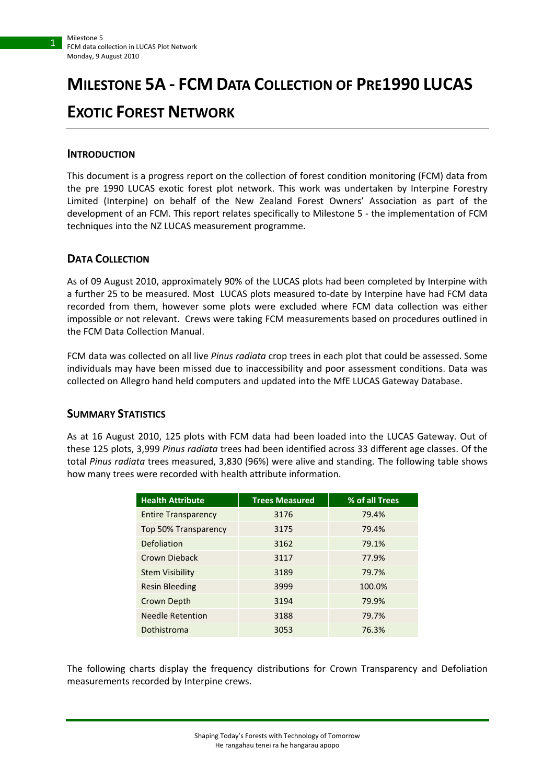1

# **MILESTONE 5A - FCM DATA COLLECTION OF PRE1990 LUCAS EXOTIC FOREST NETWORK**

# **INTRODUCTION**

This document is a progress report on the collection of forest condition monitoring (FCM) data from the pre 1990 LUCAS exotic forest plot network. This work was undertaken by Interpine Forestry Limited (Interpine) on behalf of the New Zealand Forest Owners' Association as part of the development of an FCM. This report relates specifically to Milestone 5 - the implementation of FCM techniques into the NZ LUCAS measurement programme.

## **DATA COLLECTION**

As of 09 August 2010, approximately 90% of the LUCAS plots had been completed by Interpine with a further 25 to be measured. Most LUCAS plots measured to-date by Interpine have had FCM data recorded from them, however some plots were excluded where FCM data collection was either impossible or not relevant. Crews were taking FCM measurements based on procedures outlined in the FCM Data Collection Manual.

FCM data was collected on all live *Pinus radiata* crop trees in each plot that could be assessed. Some individuals may have been missed due to inaccessibility and poor assessment conditions. Data was collected on Allegro hand held computers and updated into the MfE LUCAS Gateway Database.

## **SUMMARY STATISTICS**

As at 16 August 2010, 125 plots with FCM data had been loaded into the LUCAS Gateway. Out of these 125 plots, 3,999 *Pinus radiata* trees had been identified across 33 different age classes. Of the total *Pinus radiata* trees measured, 3,830 (96%) were alive and standing. The following table shows how many trees were recorded with health attribute information.

| <b>Health Attribute</b>    | <b>Trees Measured</b> | % of all Trees |
|----------------------------|-----------------------|----------------|
| <b>Entire Transparency</b> | 3176                  | 79.4%          |
| Top 50% Transparency       | 3175                  | 79.4%          |
| Defoliation                | 3162                  | 79.1%          |
| Crown Dieback              | 3117                  | 77.9%          |
| <b>Stem Visibility</b>     | 3189                  | 79.7%          |
| <b>Resin Bleeding</b>      | 3999                  | 100.0%         |
| Crown Depth                | 3194                  | 79.9%          |
| <b>Needle Retention</b>    | 3188                  | 79.7%          |
| Dothistroma                | 3053                  | 76.3%          |

The following charts display the frequency distributions for Crown Transparency and Defoliation measurements recorded by Interpine crews.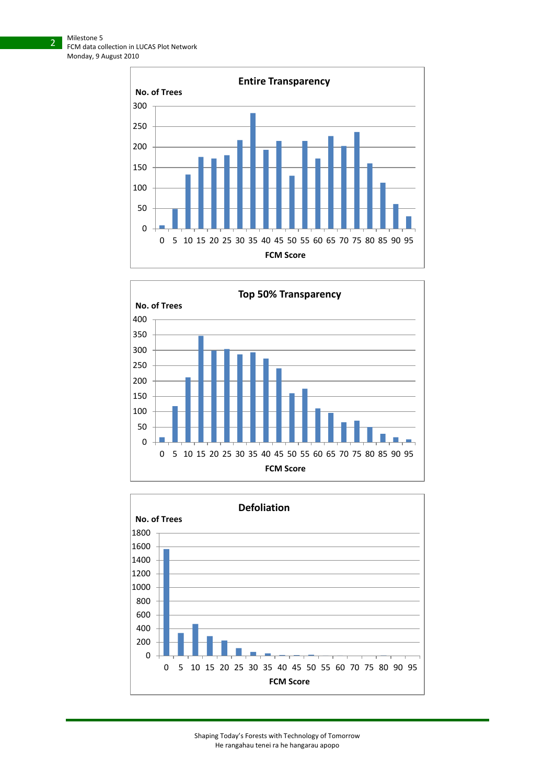